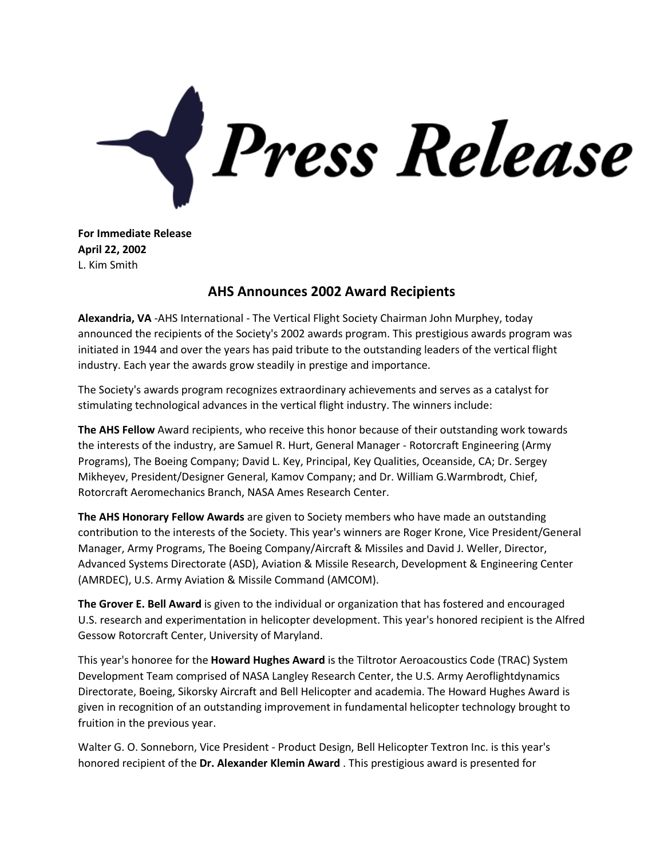

**For Immediate Release April 22, 2002** L. Kim Smith

## **AHS Announces 2002 Award Recipients**

**Alexandria, VA** -AHS International - The Vertical Flight Society Chairman John Murphey, today announced the recipients of the Society's 2002 awards program. This prestigious awards program was initiated in 1944 and over the years has paid tribute to the outstanding leaders of the vertical flight industry. Each year the awards grow steadily in prestige and importance.

The Society's awards program recognizes extraordinary achievements and serves as a catalyst for stimulating technological advances in the vertical flight industry. The winners include:

**The AHS Fellow** Award recipients, who receive this honor because of their outstanding work towards the interests of the industry, are Samuel R. Hurt, General Manager - Rotorcraft Engineering (Army Programs), The Boeing Company; David L. Key, Principal, Key Qualities, Oceanside, CA; Dr. Sergey Mikheyev, President/Designer General, Kamov Company; and Dr. William G.Warmbrodt, Chief, Rotorcraft Aeromechanics Branch, NASA Ames Research Center.

**The AHS Honorary Fellow Awards** are given to Society members who have made an outstanding contribution to the interests of the Society. This year's winners are Roger Krone, Vice President/General Manager, Army Programs, The Boeing Company/Aircraft & Missiles and David J. Weller, Director, Advanced Systems Directorate (ASD), Aviation & Missile Research, Development & Engineering Center (AMRDEC), U.S. Army Aviation & Missile Command (AMCOM).

**The Grover E. Bell Award** is given to the individual or organization that has fostered and encouraged U.S. research and experimentation in helicopter development. This year's honored recipient is the Alfred Gessow Rotorcraft Center, University of Maryland.

This year's honoree for the **Howard Hughes Award** is the Tiltrotor Aeroacoustics Code (TRAC) System Development Team comprised of NASA Langley Research Center, the U.S. Army Aeroflightdynamics Directorate, Boeing, Sikorsky Aircraft and Bell Helicopter and academia. The Howard Hughes Award is given in recognition of an outstanding improvement in fundamental helicopter technology brought to fruition in the previous year.

Walter G. O. Sonneborn, Vice President - Product Design, Bell Helicopter Textron Inc. is this year's honored recipient of the **Dr. Alexander Klemin Award** . This prestigious award is presented for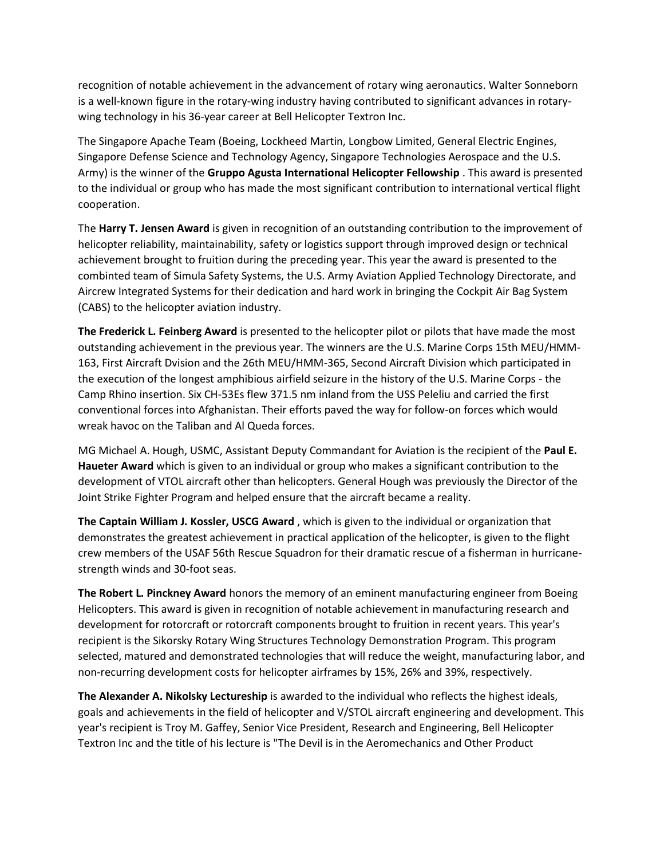recognition of notable achievement in the advancement of rotary wing aeronautics. Walter Sonneborn is a well-known figure in the rotary-wing industry having contributed to significant advances in rotarywing technology in his 36-year career at Bell Helicopter Textron Inc.

The Singapore Apache Team (Boeing, Lockheed Martin, Longbow Limited, General Electric Engines, Singapore Defense Science and Technology Agency, Singapore Technologies Aerospace and the U.S. Army) is the winner of the **Gruppo Agusta International Helicopter Fellowship** . This award is presented to the individual or group who has made the most significant contribution to international vertical flight cooperation.

The **Harry T. Jensen Award** is given in recognition of an outstanding contribution to the improvement of helicopter reliability, maintainability, safety or logistics support through improved design or technical achievement brought to fruition during the preceding year. This year the award is presented to the combinted team of Simula Safety Systems, the U.S. Army Aviation Applied Technology Directorate, and Aircrew Integrated Systems for their dedication and hard work in bringing the Cockpit Air Bag System (CABS) to the helicopter aviation industry.

**The Frederick L. Feinberg Award** is presented to the helicopter pilot or pilots that have made the most outstanding achievement in the previous year. The winners are the U.S. Marine Corps 15th MEU/HMM-163, First Aircraft Dvision and the 26th MEU/HMM-365, Second Aircraft Division which participated in the execution of the longest amphibious airfield seizure in the history of the U.S. Marine Corps - the Camp Rhino insertion. Six CH-53Es flew 371.5 nm inland from the USS Peleliu and carried the first conventional forces into Afghanistan. Their efforts paved the way for follow-on forces which would wreak havoc on the Taliban and Al Queda forces.

MG Michael A. Hough, USMC, Assistant Deputy Commandant for Aviation is the recipient of the **Paul E. Haueter Award** which is given to an individual or group who makes a significant contribution to the development of VTOL aircraft other than helicopters. General Hough was previously the Director of the Joint Strike Fighter Program and helped ensure that the aircraft became a reality.

**The Captain William J. Kossler, USCG Award** , which is given to the individual or organization that demonstrates the greatest achievement in practical application of the helicopter, is given to the flight crew members of the USAF 56th Rescue Squadron for their dramatic rescue of a fisherman in hurricanestrength winds and 30-foot seas.

**The Robert L. Pinckney Award** honors the memory of an eminent manufacturing engineer from Boeing Helicopters. This award is given in recognition of notable achievement in manufacturing research and development for rotorcraft or rotorcraft components brought to fruition in recent years. This year's recipient is the Sikorsky Rotary Wing Structures Technology Demonstration Program. This program selected, matured and demonstrated technologies that will reduce the weight, manufacturing labor, and non-recurring development costs for helicopter airframes by 15%, 26% and 39%, respectively.

**The Alexander A. Nikolsky Lectureship** is awarded to the individual who reflects the highest ideals, goals and achievements in the field of helicopter and V/STOL aircraft engineering and development. This year's recipient is Troy M. Gaffey, Senior Vice President, Research and Engineering, Bell Helicopter Textron Inc and the title of his lecture is "The Devil is in the Aeromechanics and Other Product